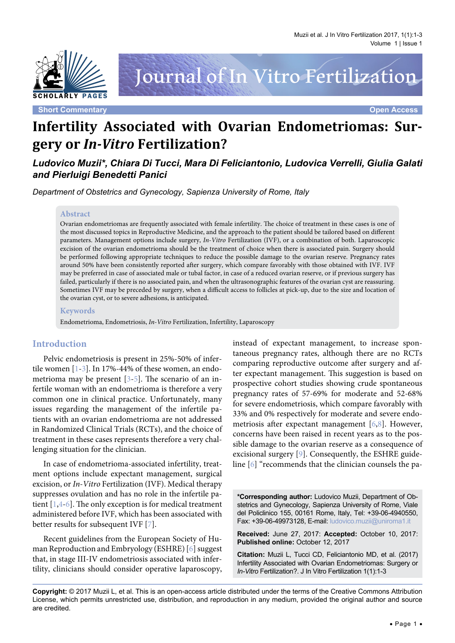

**Short Commentary <b>Commentary Open Access Open Access Open Access Open Access** 

# **Infertility Associated with Ovarian Endometriomas: Surgery or** *In-Vitro* **Fertilization?**

*Ludovico Muzii\*, Chiara Di Tucci, Mara Di Feliciantonio, Ludovica Verrelli, Giulia Galati and Pierluigi Benedetti Panici*

*Department of Obstetrics and Gynecology, Sapienza University of Rome, Italy*

#### **Abstract**

Ovarian endometriomas are frequently associated with female infertility. The choice of treatment in these cases is one of the most discussed topics in Reproductive Medicine, and the approach to the patient should be tailored based on different parameters. Management options include surgery, *In-Vitro* Fertilization (IVF), or a combination of both. Laparoscopic excision of the ovarian endometrioma should be the treatment of choice when there is associated pain. Surgery should be performed following appropriate techniques to reduce the possible damage to the ovarian reserve. Pregnancy rates around 50% have been consistently reported after surgery, which compare favorably with those obtained with IVF. IVF may be preferred in case of associated male or tubal factor, in case of a reduced ovarian reserve, or if previous surgery has failed, particularly if there is no associated pain, and when the ultrasonographic features of the ovarian cyst are reassuring. Sometimes IVF may be preceded by surgery, when a difficult access to follicles at pick-up, due to the size and location of the ovarian cyst, or to severe adhesions, is anticipated.

#### **Keywords**

Endometrioma, Endometriosis, *In-Vitro* Fertilization, Infertility, Laparoscopy

### **Introduction**

Pelvic endometriosis is present in 25%-50% of infertile women [[1](#page-2-0)-[3](#page-2-1)]. In 17%-44% of these women, an endometrioma may be present [[3](#page-2-1)[-5](#page-2-2)]. The scenario of an infertile woman with an endometrioma is therefore a very common one in clinical practice. Unfortunately, many issues regarding the management of the infertile patients with an ovarian endometrioma are not addressed in Randomized Clinical Trials (RCTs), and the choice of treatment in these cases represents therefore a very challenging situation for the clinician.

In case of endometrioma-associated infertility, treatment options include expectant management, surgical excision, or *In-Vitro* Fertilization (IVF). Medical therapy suppresses ovulation and has no role in the infertile patient [[1](#page-2-0),[4](#page-2-3)-[6](#page-2-4)]. The only exception is for medical treatment administered before IVF, which has been associated with better results for subsequent IVF [\[7\]](#page-2-5).

Recent guidelines from the European Society of Human Reproduction and Embryology (ESHRE) [\[6\]](#page-2-4) suggest that, in stage III-IV endometriosis associated with infertility, clinicians should consider operative laparoscopy, instead of expectant management, to increase spontaneous pregnancy rates, although there are no RCTs comparing reproductive outcome after surgery and after expectant management. This suggestion is based on prospective cohort studies showing crude spontaneous pregnancy rates of 57-69% for moderate and 52-68% for severe endometriosis, which compare favorably with 33% and 0% respectively for moderate and severe endometriosis after expectant management [\[6](#page-2-4)[,8\]](#page-2-6). However, concerns have been raised in recent years as to the possible damage to the ovarian reserve as a consequence of excisional surgery [[9](#page-2-7)]. Consequently, the ESHRE guideline [[6\]](#page-2-4) "recommends that the clinician counsels the pa-

**\*Corresponding author:** Ludovico Muzii, Department of Obstetrics and Gynecology, Sapienza University of Rome, Viale del Policlinico 155, 00161 Rome, Italy, Tel: +39-06-4940550, Fax: +39-06-49973128, E-mail: ludovico.muzii@uniroma1.it

**Received:** June 27, 2017: **Accepted:** October 10, 2017: **Published online:** October 12, 2017

**Citation:** Muzii L, Tucci CD, Feliciantonio MD, et al. (2017) Infertility Associated with Ovarian Endometriomas: Surgery or *In-Vitro* Fertilization?. J In Vitro Fertilization 1(1):1-3

**Copyright:** © 2017 Muzii L, et al. This is an open-access article distributed under the terms of the Creative Commons Attribution License, which permits unrestricted use, distribution, and reproduction in any medium, provided the original author and source are credited.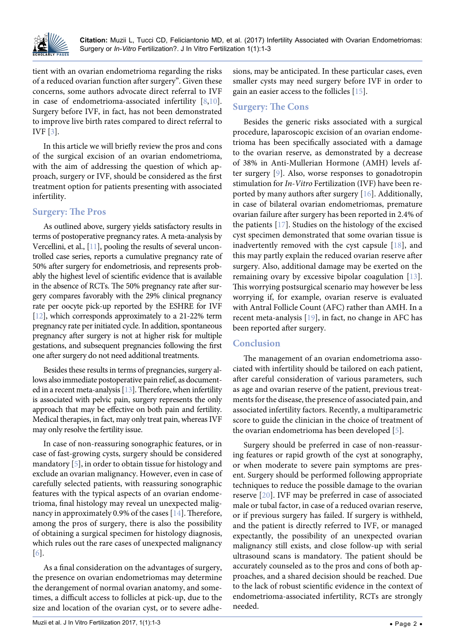

tient with an ovarian endometrioma regarding the risks of a reduced ovarian function after surgery". Given these concerns, some authors advocate direct referral to IVF in case of endometrioma-associated infertility [[8](#page-2-6),[10](#page-2-8)]. Surgery before IVF, in fact, has not been demonstrated to improve live birth rates compared to direct referral to IVF [\[3](#page-2-1)].

In this article we will briefly review the pros and cons of the surgical excision of an ovarian endometrioma, with the aim of addressing the question of which approach, surgery or IVF, should be considered as the first treatment option for patients presenting with associated infertility.

# **Surgery: The Pros**

As outlined above, surgery yields satisfactory results in terms of postoperative pregnancy rates. A meta-analysis by Vercellini, et al., [\[11](#page-2-9)], pooling the results of several uncontrolled case series, reports a cumulative pregnancy rate of 50% after surgery for endometriosis, and represents probably the highest level of scientific evidence that is available in the absence of RCTs. The 50% pregnancy rate after surgery compares favorably with the 29% clinical pregnancy rate per oocyte pick-up reported by the ESHRE for IVF [\[12](#page-2-10)], which corresponds approximately to a 21-22% term pregnancy rate per initiated cycle. In addition, spontaneous pregnancy after surgery is not at higher risk for multiple gestations, and subsequent pregnancies following the first one after surgery do not need additional treatments.

Besides these results in terms of pregnancies, surgery allows also immediate postoperative pain relief, as documented in a recent meta-analysis [\[13\]](#page-2-11). Therefore, when infertility is associated with pelvic pain, surgery represents the only approach that may be effective on both pain and fertility. Medical therapies, in fact, may only treat pain, whereas IVF may only resolve the fertility issue.

In case of non-reassuring sonographic features, or in case of fast-growing cysts, surgery should be considered mandatory [[5](#page-2-2)], in order to obtain tissue for histology and exclude an ovarian malignancy. However, even in case of carefully selected patients, with reassuring sonographic features with the typical aspects of an ovarian endometrioma, final histology may reveal un unexpected malignancy in approximately 0.9% of the cases [\[14\]](#page-2-12). Therefore, among the pros of surgery, there is also the possibility of obtaining a surgical specimen for histology diagnosis, which rules out the rare cases of unexpected malignancy [\[6\]](#page-2-4).

As a final consideration on the advantages of surgery, the presence on ovarian endometriomas may determine the derangement of normal ovarian anatomy, and sometimes, a difficult access to follicles at pick-up, due to the size and location of the ovarian cyst, or to severe adhesions, may be anticipated. In these particular cases, even smaller cysts may need surgery before IVF in order to gain an easier access to the follicles [\[15\]](#page-2-13).

## **Surgery: The Cons**

Besides the generic risks associated with a surgical procedure, laparoscopic excision of an ovarian endometrioma has been specifically associated with a damage to the ovarian reserve, as demonstrated by a decrease of 38% in Anti-Mullerian Hormone (AMH) levels after surgery [\[9](#page-2-7)]. Also, worse responses to gonadotropin stimulation for *In-Vitro* Fertilization (IVF) have been reported by many authors after surgery [\[16\]](#page-2-14). Additionally, in case of bilateral ovarian endometriomas, premature ovarian failure after surgery has been reported in 2.4% of the patients [\[17\]](#page-2-15). Studies on the histology of the excised cyst specimen demonstrated that some ovarian tissue is inadvertently removed with the cyst capsule [[18\]](#page-2-16), and this may partly explain the reduced ovarian reserve after surgery. Also, additional damage may be exerted on the remaining ovary by excessive bipolar coagulation [[13](#page-2-11)]. This worrying postsurgical scenario may however be less worrying if, for example, ovarian reserve is evaluated with Antral Follicle Count (AFC) rather than AMH. In a recent meta-analysis [[19](#page-2-17)], in fact, no change in AFC has been reported after surgery.

# **Conclusion**

The management of an ovarian endometrioma associated with infertility should be tailored on each patient, after careful consideration of various parameters, such as age and ovarian reserve of the patient, previous treatments for the disease, the presence of associated pain, and associated infertility factors. Recently, a multiparametric score to guide the clinician in the choice of treatment of the ovarian endometrioma has been developed [\[5](#page-2-2)].

Surgery should be preferred in case of non-reassuring features or rapid growth of the cyst at sonography, or when moderate to severe pain symptoms are present. Surgery should be performed following appropriate techniques to reduce the possible damage to the ovarian reserve [[20](#page-2-18)]. IVF may be preferred in case of associated male or tubal factor, in case of a reduced ovarian reserve, or if previous surgery has failed. If surgery is withheld, and the patient is directly referred to IVF, or managed expectantly, the possibility of an unexpected ovarian malignancy still exists, and close follow-up with serial ultrasound scans is mandatory. The patient should be accurately counseled as to the pros and cons of both approaches, and a shared decision should be reached. Due to the lack of robust scientific evidence in the context of endometrioma-associated infertility, RCTs are strongly needed.